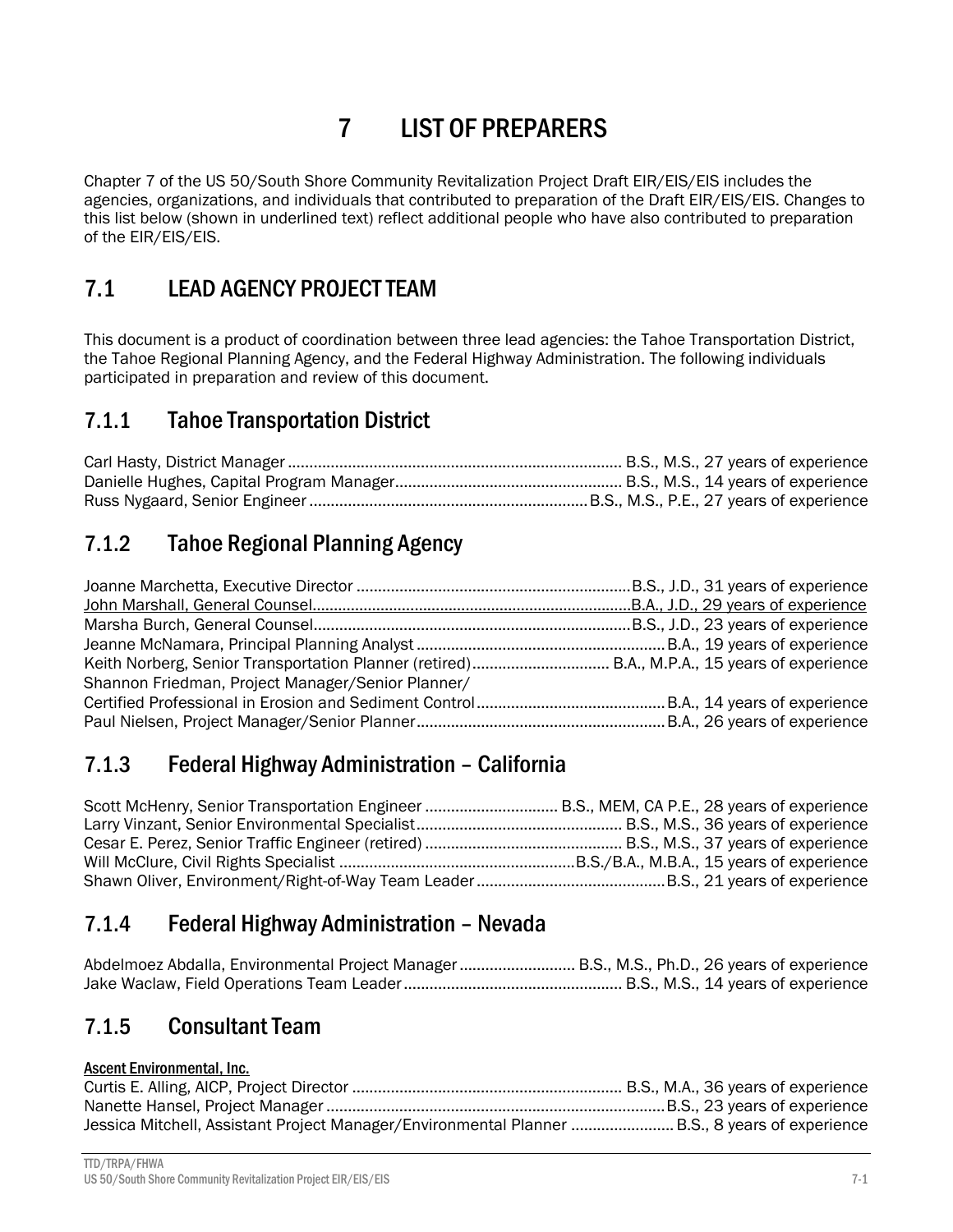# 7 LIST OF PREPARERS

Chapter 7 of the US 50/South Shore Community Revitalization Project Draft EIR/EIS/EIS includes the agencies, organizations, and individuals that contributed to preparation of the Draft EIR/EIS/EIS. Changes to this list below (shown in underlined text) reflect additional people who have also contributed to preparation of the EIR/EIS/EIS.

## 7.1 LEAD AGENCY PROJECT TEAM

This document is a product of coordination between three lead agencies: the Tahoe Transportation District, the Tahoe Regional Planning Agency, and the Federal Highway Administration. The following individuals participated in preparation and review of this document.

## 7.1.1 Tahoe Transportation District

## 7.1.2 Tahoe Regional Planning Agency

| Keith Norberg, Senior Transportation Planner (retired) B.A., M.P.A., 15 years of experience |  |
|---------------------------------------------------------------------------------------------|--|
| Shannon Friedman, Project Manager/Senior Planner/                                           |  |
|                                                                                             |  |
|                                                                                             |  |

## 7.1.3 Federal Highway Administration – California

| Scott McHenry, Senior Transportation Engineer  B.S., MEM, CA P.E., 28 years of experience |  |
|-------------------------------------------------------------------------------------------|--|
|                                                                                           |  |
|                                                                                           |  |
|                                                                                           |  |
|                                                                                           |  |

### 7.1.4 Federal Highway Administration – Nevada

| Abdelmoez Abdalla, Environmental Project Manager B.S., M.S., Ph.D., 26 years of experience |  |
|--------------------------------------------------------------------------------------------|--|
|                                                                                            |  |

### 7.1.5 Consultant Team

### Ascent Environmental, Inc.

| Jessica Mitchell, Assistant Project Manager/Environmental Planner B.S., 8 years of experience |  |
|-----------------------------------------------------------------------------------------------|--|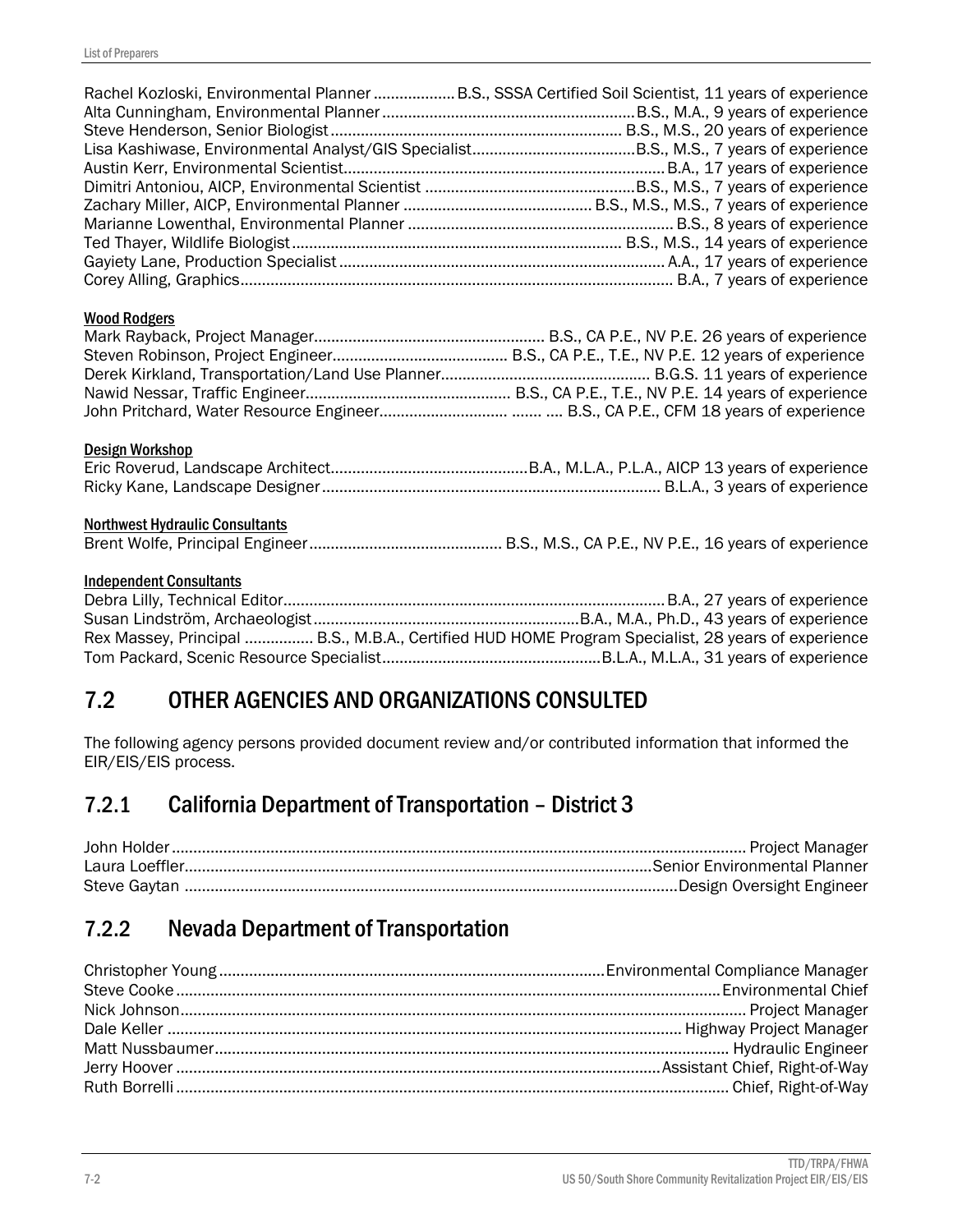| Rachel Kozloski, Environmental Planner  B.S., SSSA Certified Soil Scientist, 11 years of experience                                  |  |
|--------------------------------------------------------------------------------------------------------------------------------------|--|
| <b>Wood Rodgers</b>                                                                                                                  |  |
| Design Workshop                                                                                                                      |  |
| <b>Northwest Hydraulic Consultants</b>                                                                                               |  |
| <b>Independent Consultants</b><br>Rex Massey, Principal  B.S., M.B.A., Certified HUD HOME Program Specialist, 28 years of experience |  |
| 7.2<br>OTHER AGENCIES AND ORGANIZATIONS CONSULTED                                                                                    |  |

The following agency persons provided document review and/or contributed information that informed the EIR/EIS/EIS process.

## 7.2.1 California Department of Transportation – District 3

## 7.2.2 Nevada Department of Transportation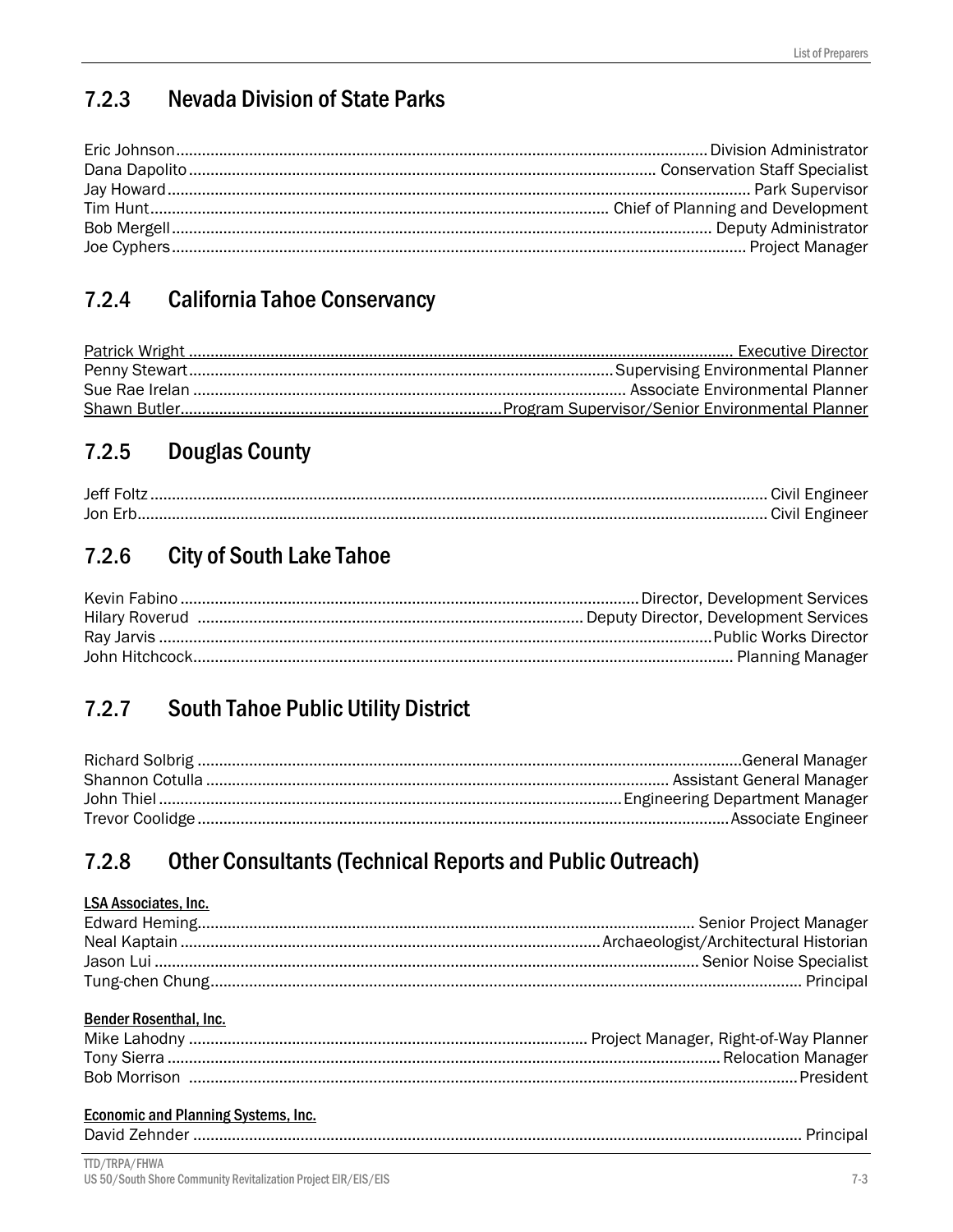#### **Nevada Division of State Parks**  $7.2.3$

#### **California Tahoe Conservancy**  $7.2.4$

#### $7.2.5$ **Douglas County**

| Jon Erb |  |
|---------|--|

#### $7.2.6$ **City of South Lake Tahoe**

#### **South Tahoe Public Utility District**  $7.2.7$

#### $7.2.8$ **Other Consultants (Technical Reports and Public Outreach)**

### **LSA Associates, Inc.**

### Bender Rosenthal, Inc.

### **Economic and Planning Systems, Inc.**